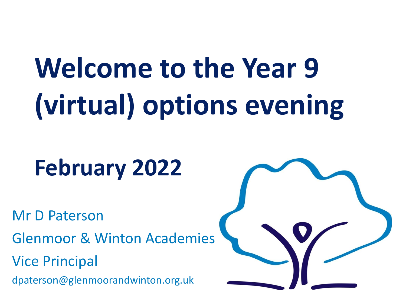# **Welcome to the Year 9 (virtual) options evening**

## **February 2022**

Mr D Paterson

Glenmoor & Winton Academies

Vice Principal

dpaterson@glenmoorandwinton.org.uk

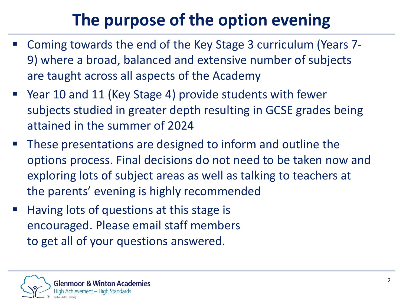### **The purpose of the option evening**

- Coming towards the end of the Key Stage 3 curriculum (Years 7- 9) where a broad, balanced and extensive number of subjects are taught across all aspects of the Academy
- Year 10 and 11 (Key Stage 4) provide students with fewer subjects studied in greater depth resulting in GCSE grades being attained in the summer of 2024
- These presentations are designed to inform and outline the options process. Final decisions do not need to be taken now and exploring lots of subject areas as well as talking to teachers at the parents' evening is highly recommended
- Having lots of questions at this stage is encouraged. Please email staff members to get all of your questions answered.

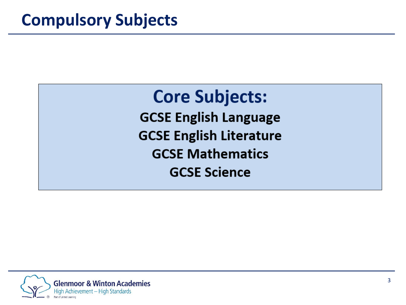**Core Subjects: GCSE English Language GCSE English Literature GCSE Mathematics GCSE Science** 

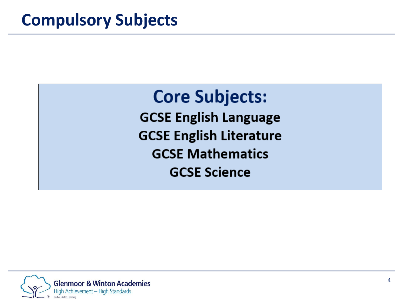**Core Subjects: GCSE English Language GCSE English Literature GCSE Mathematics GCSE Science** 

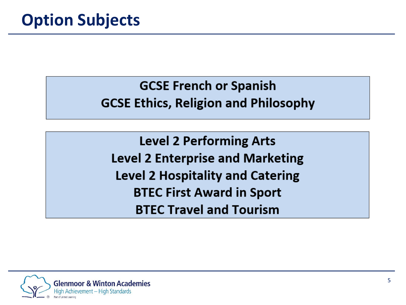**GCSE French or Spanish GCSE Ethics, Religion and Philosophy** 

**Level 2 Performing Arts Level 2 Enterprise and Marketing Level 2 Hospitality and Catering BTEC First Award in Sport BTEC Travel and Tourism** 

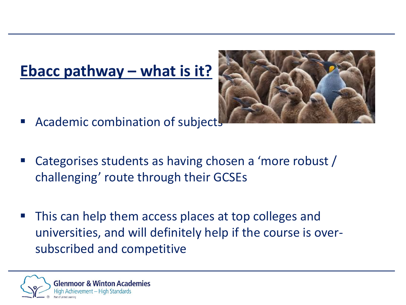#### **Ebacc pathway – what is it?**



- Academic combination of subject
- Categorises students as having chosen a 'more robust / challenging' route through their GCSEs
- This can help them access places at top colleges and universities, and will definitely help if the course is oversubscribed and competitive

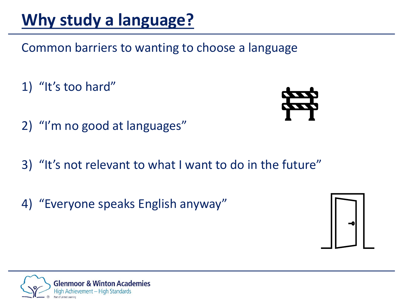#### **Why study a language?**

Common barriers to wanting to choose a language

1) "It's too hard"

- 2) "I'm no good at languages"
- 3) "It's not relevant to what I want to do in the future"
- 4) "Everyone speaks English anyway"



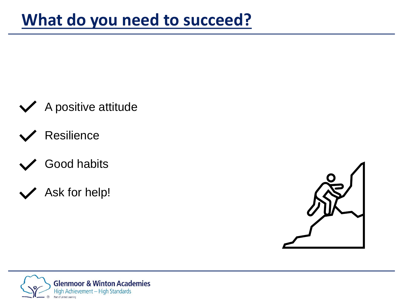

- **Resilience**
- Good habits
- Ask for help!



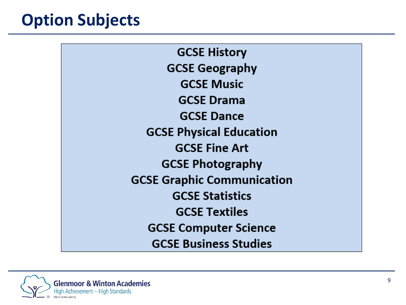#### **Option Subjects**

**GCSE History GCSE Geography GCSE Music GCSE Drama GCSE Dance GCSE Physical Education GCSE Fine Art GCSE Photography GCSE Graphic Communication GCSE Statistics GCSE Textiles GCSE Computer Science GCSE Business Studies** 

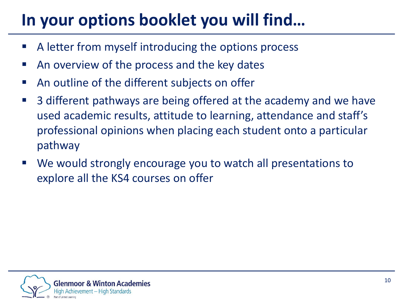#### **In your options booklet you will find…**

- A letter from myself introducing the options process
- An overview of the process and the key dates
- An outline of the different subjects on offer
- 3 different pathways are being offered at the academy and we have used academic results, attitude to learning, attendance and staff's professional opinions when placing each student onto a particular pathway
- We would strongly encourage you to watch all presentations to explore all the KS4 courses on offer

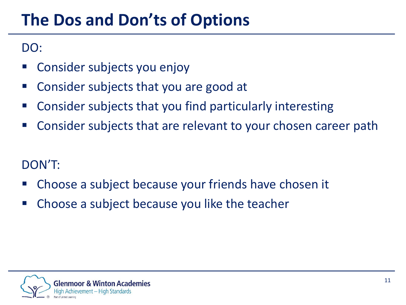#### **The Dos and Don'ts of Options**

DO:

- Consider subjects you enjoy
- Consider subjects that you are good at
- Consider subjects that you find particularly interesting
- Consider subjects that are relevant to your chosen career path

#### DON'T:

- Choose a subject because your friends have chosen it
- **EX Choose a subject because you like the teacher**

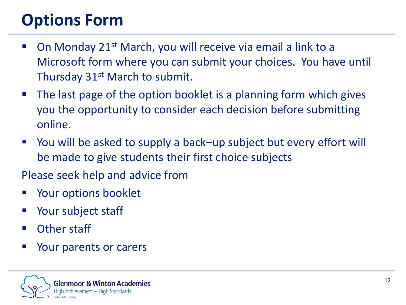### **Options Form**

- On Monday 21<sup>st</sup> March, you will receive via email a link to a Microsoft form where you can submit your choices. You have until Thursday 31<sup>st</sup> March to submit.
- The last page of the option booklet is a planning form which gives you the opportunity to consider each decision before submitting online.
- You will be asked to supply a back–up subject but every effort will be made to give students their first choice subjects

Please seek help and advice from

- Your options booklet
- Your subject staff
- Other staff
- Your parents or carers

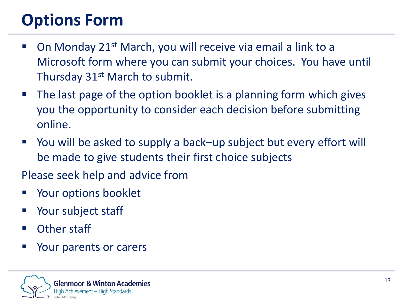### **Options Form**

- On Monday 21<sup>st</sup> March, you will receive via email a link to a Microsoft form where you can submit your choices. You have until Thursday 31<sup>st</sup> March to submit.
- The last page of the option booklet is a planning form which gives you the opportunity to consider each decision before submitting online.
- You will be asked to supply a back–up subject but every effort will be made to give students their first choice subjects

Please seek help and advice from

- Your options booklet
- Your subject staff
- Other staff
- Your parents or carers

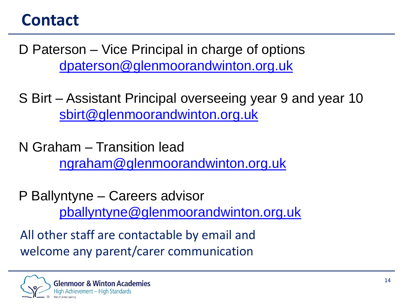#### **Contact**

D Paterson – Vice Principal in charge of options [dpaterson@glenmoorandwinton.org.uk](mailto:dpaterson@glenmoorandwinton.org.uk)

S Birt – Assistant Principal overseeing year 9 and year 10 [sbirt@glenmoorandwinton.org.uk](mailto:sbirt@glenmoorandwinton.org.uk)

N Graham – Transition lead [ngraham@glenmoorandwinton.org.uk](mailto:gdarwin@glenmoorandwinton.org.uk)

P Ballyntyne – Careers advisor [pballyntyne@glenmoorandwinton.org.uk](mailto:pballyntyne@glenmoorandwinton.org.uk)

All other staff are contactable by email and welcome any parent/carer communication